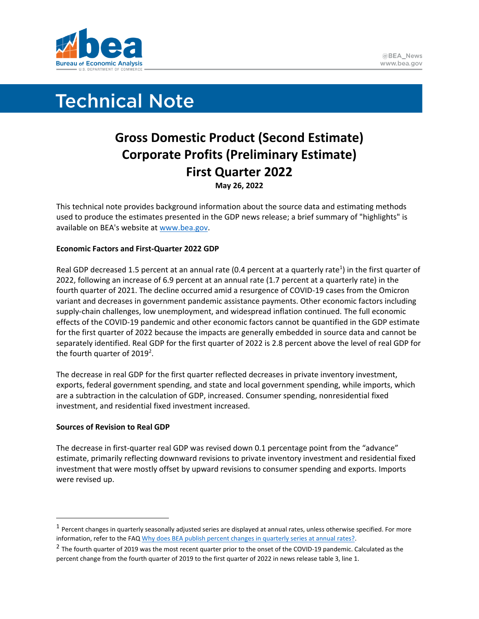

# **Technical Note**

# **Gross Domestic Product (Second Estimate) Corporate Profits (Preliminary Estimate) First Quarter 2022 May 26, 2022**

This technical note provides background information about the source data and estimating methods used to produce the estimates presented in the GDP news release; a brief summary of "highlights" is available on BEA's website at [www.bea.gov.](http://www.bea.gov/)

# **Economic Factors and First-Quarter 2022 GDP**

Real GDP decreased 1.5 percent at an annual rate (0.4 percent at a quarterly rate<sup>1</sup>) in the first quarter of 2022, following an increase of 6.9 percent at an annual rate (1.7 percent at a quarterly rate) in the fourth quarter of 2021. The decline occurred amid a resurgence of COVID-19 cases from the Omicron variant and decreases in government pandemic assistance payments. Other economic factors including supply-chain challenges, low unemployment, and widespread inflation continued. The full economic effects of the COVID-19 pandemic and other economic factors cannot be quantified in the GDP estimate for the first quarter of 2022 because the impacts are generally embedded in source data and cannot be separately identified. Real GDP for the first quarter of 2022 is 2.8 percent above the level of real GDP for the fourth quarter of 2019<sup>2</sup>.

The decrease in real GDP for the first quarter reflected decreases in private inventory investment, exports, federal government spending, and state and local government spending, while imports, which are a subtraction in the calculation of GDP, increased. Consumer spending, nonresidential fixed investment, and residential fixed investment increased.

# **Sources of Revision to Real GDP**

The decrease in first-quarter real GDP was revised down 0.1 percentage point from the "advance" estimate, primarily reflecting downward revisions to private inventory investment and residential fixed investment that were mostly offset by upward revisions to consumer spending and exports. Imports were revised up.

 $^1$  Percent changes in quarterly seasonally adjusted series are displayed at annual rates, unless otherwise specified. For more information, refer to the FAQ Why does BEA publish percent changes in quarterly series at annual rates?

 $^2$  The fourth quarter of 2019 was the most recent quarter prior to the onset of the COVID-19 pandemic. Calculated as the percent change from the fourth quarter of 2019 to the first quarter of 2022 in news release table 3, line 1.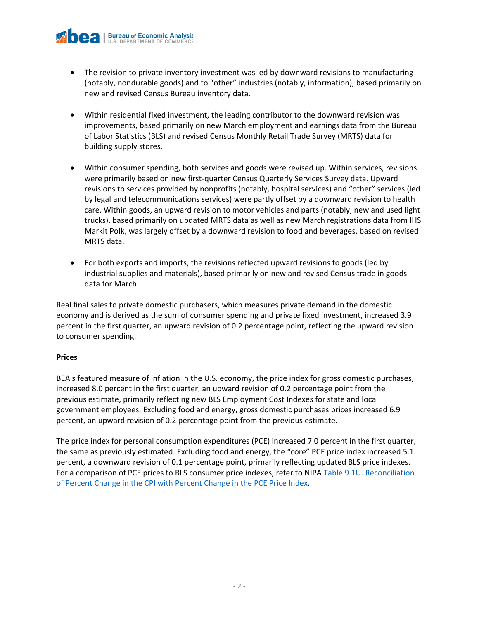- The revision to private inventory investment was led by downward revisions to manufacturing (notably, nondurable goods) and to "other" industries (notably, information), based primarily on new and revised Census Bureau inventory data.
- Within residential fixed investment, the leading contributor to the downward revision was improvements, based primarily on new March employment and earnings data from the Bureau of Labor Statistics (BLS) and revised Census Monthly Retail Trade Survey (MRTS) data for building supply stores.
- Within consumer spending, both services and goods were revised up. Within services, revisions were primarily based on new first-quarter Census Quarterly Services Survey data. Upward revisions to services provided by nonprofits (notably, hospital services) and "other" services (led by legal and telecommunications services) were partly offset by a downward revision to health care. Within goods, an upward revision to motor vehicles and parts (notably, new and used light trucks), based primarily on updated MRTS data as well as new March registrations data from IHS Markit Polk, was largely offset by a downward revision to food and beverages, based on revised MRTS data.
- For both exports and imports, the revisions reflected upward revisions to goods (led by industrial supplies and materials), based primarily on new and revised Census trade in goods data for March.

Real final sales to private domestic purchasers, which measures private demand in the domestic economy and is derived as the sum of consumer spending and private fixed investment, increased 3.9 percent in the first quarter, an upward revision of 0.2 percentage point, reflecting the upward revision to consumer spending.

# **Prices**

BEA's featured measure of inflation in the U.S. economy, the price index for gross domestic purchases, increased 8.0 percent in the first quarter, an upward revision of 0.2 percentage point from the previous estimate, primarily reflecting new BLS Employment Cost Indexes for state and local government employees. Excluding food and energy, gross domestic purchases prices increased 6.9 percent, an upward revision of 0.2 percentage point from the previous estimate.

The price index for personal consumption expenditures (PCE) increased 7.0 percent in the first quarter, the same as previously estimated. Excluding food and energy, the "core" PCE price index increased 5.1 percent, a downward revision of 0.1 percentage point, primarily reflecting updated BLS price indexes. For a comparison of PCE prices to BLS consumer price indexes, refer to NIPA [Table 9.1U. Reconciliation](https://apps.bea.gov/iTable/iTable.cfm?reqid=19&step=3&isuri=1&nipa_table_list=2075&categories=underlying)  [of Percent Change in the CPI with Percent Change in the PCE Price Index.](https://apps.bea.gov/iTable/iTable.cfm?reqid=19&step=3&isuri=1&nipa_table_list=2075&categories=underlying)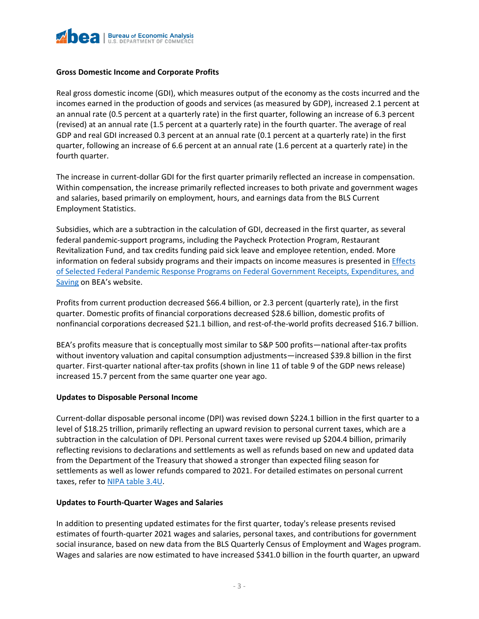

#### **Gross Domestic Income and Corporate Profits**

Real gross domestic income (GDI), which measures output of the economy as the costs incurred and the incomes earned in the production of goods and services (as measured by GDP), increased 2.1 percent at an annual rate (0.5 percent at a quarterly rate) in the first quarter, following an increase of 6.3 percent (revised) at an annual rate (1.5 percent at a quarterly rate) in the fourth quarter. The average of real GDP and real GDI increased 0.3 percent at an annual rate (0.1 percent at a quarterly rate) in the first quarter, following an increase of 6.6 percent at an annual rate (1.6 percent at a quarterly rate) in the fourth quarter.

The increase in current-dollar GDI for the first quarter primarily reflected an increase in compensation. Within compensation, the increase primarily reflected increases to both private and government wages and salaries, based primarily on employment, hours, and earnings data from the BLS Current Employment Statistics.

Subsidies, which are a subtraction in the calculation of GDI, decreased in the first quarter, as several federal pandemic-support programs, including the Paycheck Protection Program, Restaurant Revitalization Fund, and tax credits funding paid sick leave and employee retention, ended. More information on federal subsidy programs and their impacts on income measures is presented in **Effects** [of Selected Federal Pandemic Response Programs on Federal Government Receipts, Expenditures, and](https://www.bea.gov/sites/default/files/2022-05/effects-of-selected-federal-pandemic-response-programs-on-federal-government-receipts-expenditures-and-saving-2022q1-2nd.pdf)  [Saving](https://www.bea.gov/sites/default/files/2022-05/effects-of-selected-federal-pandemic-response-programs-on-federal-government-receipts-expenditures-and-saving-2022q1-2nd.pdf) on BEA's website.

Profits from current production decreased \$66.4 billion, or 2.3 percent (quarterly rate), in the first quarter. Domestic profits of financial corporations decreased \$28.6 billion, domestic profits of nonfinancial corporations decreased \$21.1 billion, and rest-of-the-world profits decreased \$16.7 billion.

BEA's profits measure that is conceptually most similar to S&P 500 profits—national after-tax profits without inventory valuation and capital consumption adjustments—increased \$39.8 billion in the first quarter. First-quarter national after-tax profits (shown in line 11 of table 9 of the GDP news release) increased 15.7 percent from the same quarter one year ago.

#### **Updates to Disposable Personal Income**

Current-dollar disposable personal income (DPI) was revised down \$224.1 billion in the first quarter to a level of \$18.25 trillion, primarily reflecting an upward revision to personal current taxes, which are a subtraction in the calculation of DPI. Personal current taxes were revised up \$204.4 billion, primarily reflecting revisions to declarations and settlements as well as refunds based on new and updated data from the Department of the Treasury that showed a stronger than expected filing season for settlements as well as lower refunds compared to 2021. For detailed estimates on personal current taxes, refer to [NIPA table 3.4U.](https://apps.bea.gov/iTable/iTable.cfm?reqid=19&step=3&isuri=1&nipa_table_list=2019&categories=underlying)

#### **Updates to Fourth-Quarter Wages and Salaries**

In addition to presenting updated estimates for the first quarter, today's release presents revised estimates of fourth-quarter 2021 wages and salaries, personal taxes, and contributions for government social insurance, based on new data from the BLS Quarterly Census of Employment and Wages program. Wages and salaries are now estimated to have increased \$341.0 billion in the fourth quarter, an upward